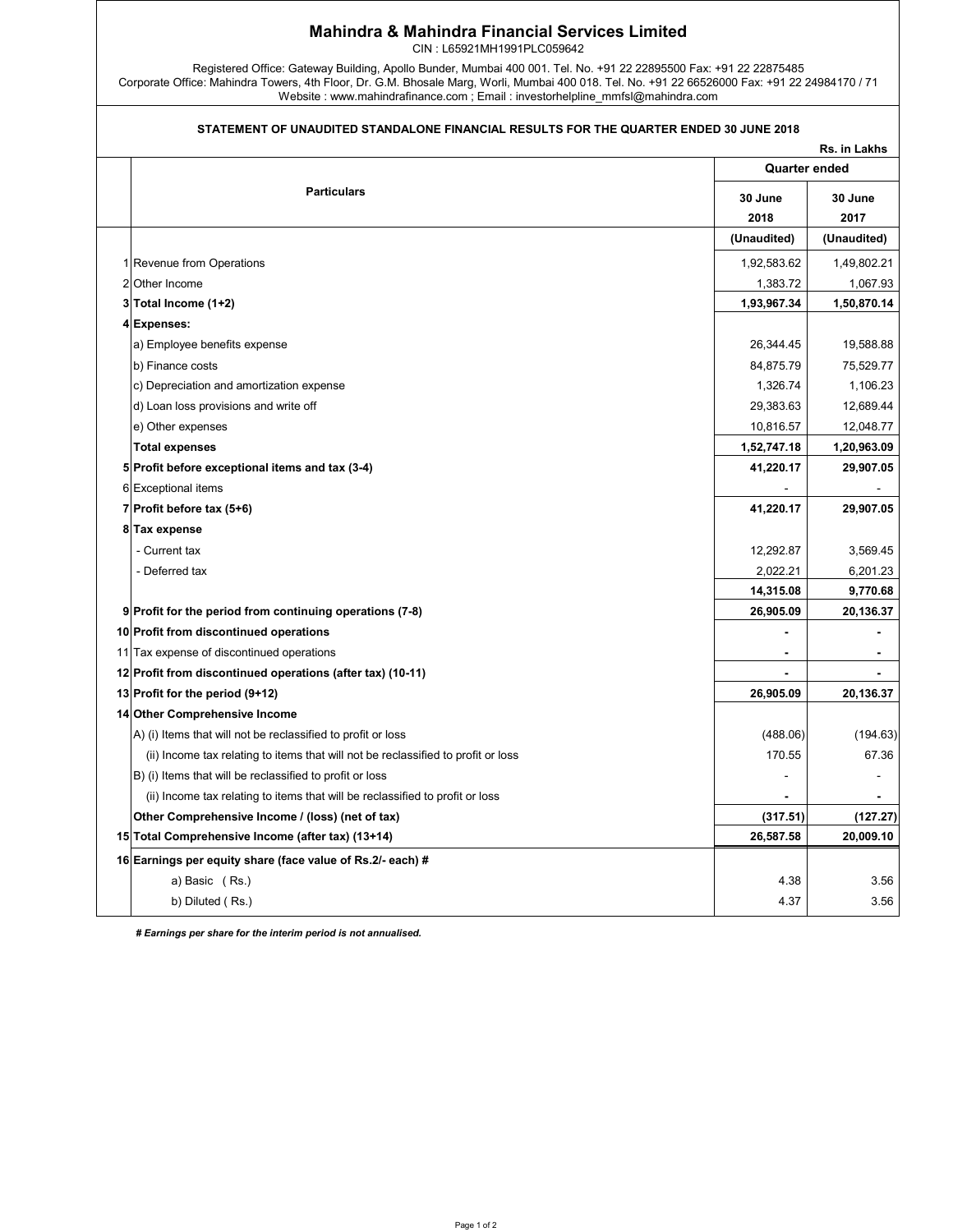## Mahindra & Mahindra Financial Services Limited

CIN : L65921MH1991PLC059642

Registered Office: Gateway Building, Apollo Bunder, Mumbai 400 001. Tel. No. +91 22 22895500 Fax: +91 22 22875485 Corporate Office: Mahindra Towers, 4th Floor, Dr. G.M. Bhosale Marg, Worli, Mumbai 400 018. Tel. No. +91 22 66526000 Fax: +91 22 24984170 / 71 Website : www.mahindrafinance.com ; Email : investorhelpline\_mmfsl@mahindra.com

## STATEMENT OF UNAUDITED STANDALONE FINANCIAL RESULTS FOR THE QUARTER ENDED 30 JUNE 2018

|                                                                                   |                 | Rs. in Lakhs    |  |
|-----------------------------------------------------------------------------------|-----------------|-----------------|--|
|                                                                                   |                 | Quarter ended   |  |
| <b>Particulars</b>                                                                | 30 June<br>2018 | 30 June<br>2017 |  |
|                                                                                   | (Unaudited)     | (Unaudited)     |  |
| 1 Revenue from Operations                                                         | 1,92,583.62     | 1,49,802.21     |  |
| 2 Other Income                                                                    | 1,383.72        | 1,067.93        |  |
| 3 Total Income (1+2)                                                              | 1,93,967.34     | 1,50,870.14     |  |
| 4 Expenses:                                                                       |                 |                 |  |
| a) Employee benefits expense                                                      | 26,344.45       | 19,588.88       |  |
| b) Finance costs                                                                  | 84,875.79       | 75,529.77       |  |
| c) Depreciation and amortization expense                                          | 1,326.74        | 1,106.23        |  |
| d) Loan loss provisions and write off                                             | 29,383.63       | 12,689.44       |  |
| e) Other expenses                                                                 | 10,816.57       | 12,048.77       |  |
| <b>Total expenses</b>                                                             | 1,52,747.18     | 1,20,963.09     |  |
| 5 Profit before exceptional items and tax (3-4)                                   | 41,220.17       | 29,907.05       |  |
| 6 Exceptional items                                                               |                 |                 |  |
| 7 Profit before tax (5+6)                                                         | 41,220.17       | 29,907.05       |  |
| 8 Tax expense                                                                     |                 |                 |  |
| - Current tax                                                                     | 12,292.87       | 3,569.45        |  |
| - Deferred tax                                                                    | 2,022.21        | 6,201.23        |  |
|                                                                                   | 14,315.08       | 9,770.68        |  |
| 9 Profit for the period from continuing operations (7-8)                          | 26,905.09       | 20,136.37       |  |
| 10 Profit from discontinued operations                                            |                 |                 |  |
| 11 Tax expense of discontinued operations                                         |                 |                 |  |
| 12 Profit from discontinued operations (after tax) (10-11)                        |                 |                 |  |
| 13 Profit for the period (9+12)                                                   | 26,905.09       | 20,136.37       |  |
| 14 Other Comprehensive Income                                                     |                 |                 |  |
| A) (i) Items that will not be reclassified to profit or loss                      | (488.06)        | (194.63)        |  |
| (ii) Income tax relating to items that will not be reclassified to profit or loss | 170.55          | 67.36           |  |
| B) (i) Items that will be reclassified to profit or loss                          |                 | ٠               |  |
| (ii) Income tax relating to items that will be reclassified to profit or loss     |                 |                 |  |
| Other Comprehensive Income / (loss) (net of tax)                                  | (317.51)        | (127.27)        |  |
| 15 Total Comprehensive Income (after tax) (13+14)                                 | 26,587.58       | 20,009.10       |  |
| 16 Earnings per equity share (face value of Rs.2/- each) #                        |                 |                 |  |
| a) Basic (Rs.)                                                                    | 4.38            | 3.56            |  |
| b) Diluted (Rs.)                                                                  | 4.37            | 3.56            |  |

 *# Earnings per share for the interim period is not annualised.*